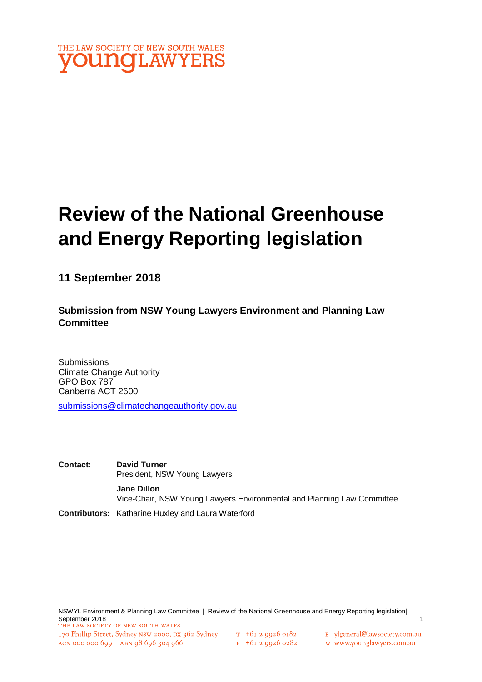

# **Review of the National Greenhouse and Energy Reporting legislation**

**11 September 2018**

**Submission from NSW Young Lawyers Environment and Planning Law Committee**

**Submissions** Climate Change Authority GPO Box 787 Canberra ACT 2600

[submissions@climatechangeauthority.gov.au](about:blank)

**Contact: David Turner** President, NSW Young Lawyers **Jane Dillon**  Vice-Chair, NSW Young Lawyers Environmental and Planning Law Committee

**Contributors:** Katharine Huxley and Laura Waterford

NSWYL Environment & Planning Law Committee | Review of the National Greenhouse and Energy Reporting legislation| September 2018<br>THE LAW SOCIETY OF NEW SOUTH WALES 170 Phillip Street, Sydney NSW 2000, DX 362 Sydney T +61 2 9926 0182 E ylgeneral@lawsociety.com.au ACN 000 000 699 ABN 98 696 304 966  $F$  +61 2 9926 0282 w www.younglawyers.com.au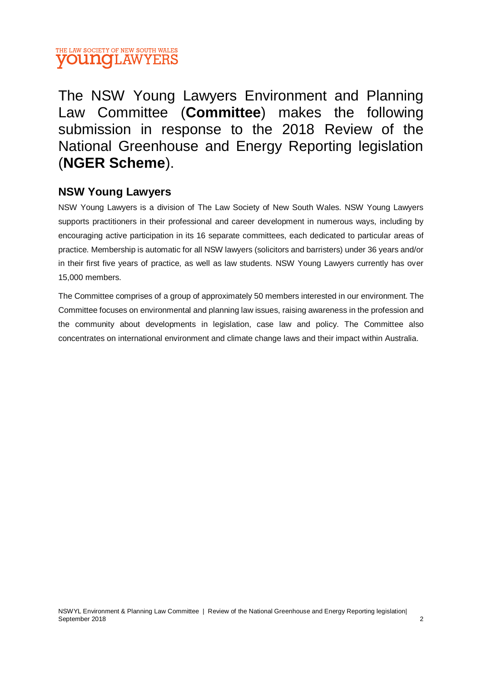#### THE LAW SOCIETY OF NEW SOUTH WALES **YOUNG** LAW YERS

The NSW Young Lawyers Environment and Planning Law Committee (**Committee**) makes the following submission in response to the 2018 Review of the National Greenhouse and Energy Reporting legislation (**NGER Scheme**).

#### **NSW Young Lawyers**

NSW Young Lawyers is a division of The Law Society of New South Wales. NSW Young Lawyers supports practitioners in their professional and career development in numerous ways, including by encouraging active participation in its 16 separate committees, each dedicated to particular areas of practice. Membership is automatic for all NSW lawyers (solicitors and barristers) under 36 years and/or in their first five years of practice, as well as law students. NSW Young Lawyers currently has over 15,000 members.

The Committee comprises of a group of approximately 50 members interested in our environment. The Committee focuses on environmental and planning law issues, raising awareness in the profession and the community about developments in legislation, case law and policy. The Committee also concentrates on international environment and climate change laws and their impact within Australia.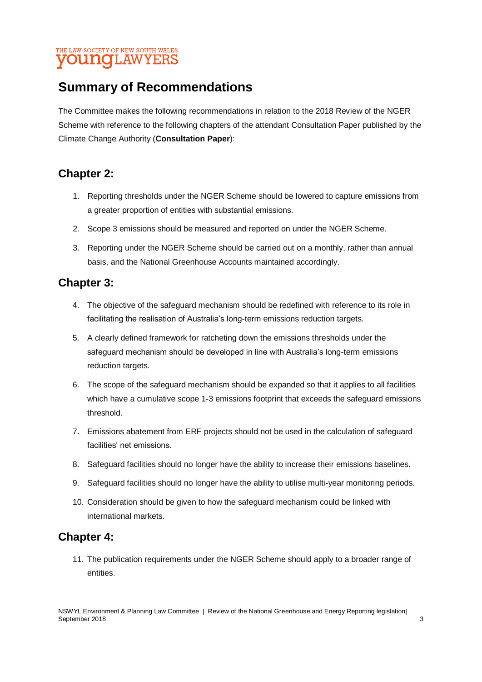#### THE LAW SOCIETY OF NEW SOUTH WALES **VOUNG**LAWYERS

### **Summary of Recommendations**

The Committee makes the following recommendations in relation to the 2018 Review of the NGER Scheme with reference to the following chapters of the attendant Consultation Paper published by the Climate Change Authority (**Consultation Paper**):

### **Chapter 2:**

- 1. Reporting thresholds under the NGER Scheme should be lowered to capture emissions from a greater proportion of entities with substantial emissions.
- 2. Scope 3 emissions should be measured and reported on under the NGER Scheme.
- 3. Reporting under the NGER Scheme should be carried out on a monthly, rather than annual basis, and the National Greenhouse Accounts maintained accordingly.

### **Chapter 3:**

- 4. The objective of the safeguard mechanism should be redefined with reference to its role in facilitating the realisation of Australia's long-term emissions reduction targets.
- 5. A clearly defined framework for ratcheting down the emissions thresholds under the safeguard mechanism should be developed in line with Australia's long-term emissions reduction targets.
- 6. The scope of the safeguard mechanism should be expanded so that it applies to all facilities which have a cumulative scope 1-3 emissions footprint that exceeds the safeguard emissions threshold.
- 7. Emissions abatement from ERF projects should not be used in the calculation of safeguard facilities' net emissions.
- 8. Safeguard facilities should no longer have the ability to increase their emissions baselines.
- 9. Safeguard facilities should no longer have the ability to utilise multi-year monitoring periods.
- 10. Consideration should be given to how the safeguard mechanism could be linked with international markets.

### **Chapter 4:**

11. The publication requirements under the NGER Scheme should apply to a broader range of entities.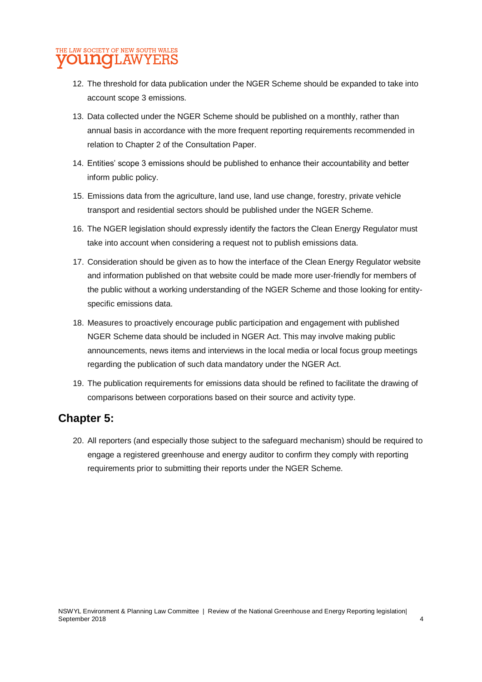#### HE LAW SOCIETY OF NEW SOUTH WALES **VOUNGLAWYERS**

- 12. The threshold for data publication under the NGER Scheme should be expanded to take into account scope 3 emissions.
- 13. Data collected under the NGER Scheme should be published on a monthly, rather than annual basis in accordance with the more frequent reporting requirements recommended in relation to Chapter 2 of the Consultation Paper.
- 14. Entities' scope 3 emissions should be published to enhance their accountability and better inform public policy.
- 15. Emissions data from the agriculture, land use, land use change, forestry, private vehicle transport and residential sectors should be published under the NGER Scheme.
- 16. The NGER legislation should expressly identify the factors the Clean Energy Regulator must take into account when considering a request not to publish emissions data.
- 17. Consideration should be given as to how the interface of the Clean Energy Regulator website and information published on that website could be made more user-friendly for members of the public without a working understanding of the NGER Scheme and those looking for entityspecific emissions data.
- 18. Measures to proactively encourage public participation and engagement with published NGER Scheme data should be included in NGER Act. This may involve making public announcements, news items and interviews in the local media or local focus group meetings regarding the publication of such data mandatory under the NGER Act.
- 19. The publication requirements for emissions data should be refined to facilitate the drawing of comparisons between corporations based on their source and activity type.

### **Chapter 5:**

20. All reporters (and especially those subject to the safeguard mechanism) should be required to engage a registered greenhouse and energy auditor to confirm they comply with reporting requirements prior to submitting their reports under the NGER Scheme.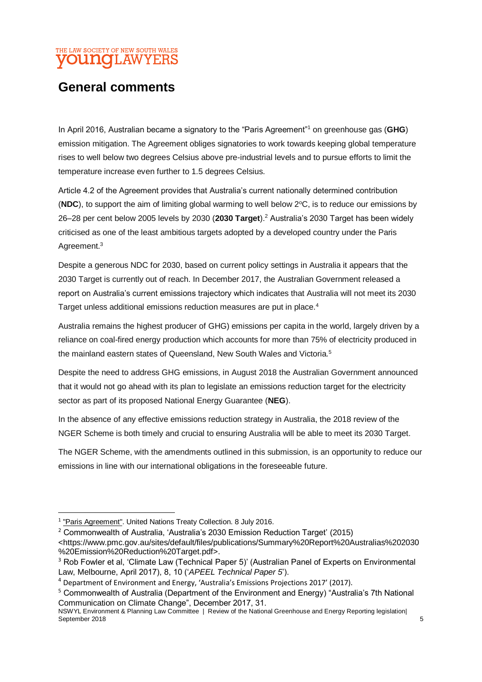#### HE LAW SOCIETY OF NEW SOUTH WALES **younq**LAWYERS

### **General comments**

In April 2016, Australian became a signatory to the "Paris Agreement"<sup>1</sup> on greenhouse gas (**GHG**) emission mitigation. The Agreement obliges signatories to work towards keeping global temperature rises to well below two degrees Celsius above pre-industrial levels and to pursue efforts to limit the temperature increase even further to 1.5 degrees Celsius.

Article 4.2 of the Agreement provides that Australia's current nationally determined contribution ( $NDC$ ), to support the aim of limiting global warming to well below  $2^{\circ}C$ , is to reduce our emissions by 26–28 per cent below 2005 levels by 2030 (**2030 Target**).<sup>2</sup> Australia's 2030 Target has been widely criticised as one of the least ambitious targets adopted by a developed country under the Paris Agreement.<sup>3</sup>

Despite a generous NDC for 2030, based on current policy settings in Australia it appears that the 2030 Target is currently out of reach. In December 2017, the Australian Government released a report on Australia's current emissions trajectory which indicates that Australia will not meet its 2030 Target unless additional emissions reduction measures are put in place.<sup>4</sup>

Australia remains the highest producer of GHG) emissions per capita in the world, largely driven by a reliance on coal-fired energy production which accounts for more than 75% of electricity produced in the mainland eastern states of Queensland, New South Wales and Victoria.<sup>5</sup>

Despite the need to address GHG emissions, in August 2018 the Australian Government announced that it would not go ahead with its plan to legislate an emissions reduction target for the electricity sector as part of its proposed National Energy Guarantee (**NEG**).

In the absence of any effective emissions reduction strategy in Australia, the 2018 review of the NGER Scheme is both timely and crucial to ensuring Australia will be able to meet its 2030 Target.

The NGER Scheme, with the amendments outlined in this submission, is an opportunity to reduce our emissions in line with our international obligations in the foreseeable future.

1

<sup>2</sup> Commonwealth of Australia, 'Australia's 2030 Emission Reduction Target' (2015)

<sup>&</sup>lt;sup>1</sup> ["Paris Agreement".](https://treaties.un.org/pages/ViewDetails.aspx?src=TREATY&mtdsg_no=XXVII-7-d&chapter=27&clang=_en) United Nations Treaty Collection. 8 July 2016.

<sup>&</sup>lt;https://www.pmc.gov.au/sites/default/files/publications/Summary%20Report%20Australias%202030 %20Emission%20Reduction%20Target.pdf>.

<sup>&</sup>lt;sup>3</sup> Rob Fowler et al, 'Climate Law (Technical Paper 5)' (Australian Panel of Experts on Environmental Law, Melbourne, April 2017), 8, 10 ('*APEEL Technical Paper 5*').

<sup>4</sup> Department of Environment and Energy, 'Australia's Emissions Projections 2017' (2017).

<sup>5</sup> Commonwealth of Australia (Department of the Environment and Energy) "Australia's 7th National Communication on Climate Change", December 2017, 31.

NSWYL Environment & Planning Law Committee | Review of the National Greenhouse and Energy Reporting legislation| September 2018 5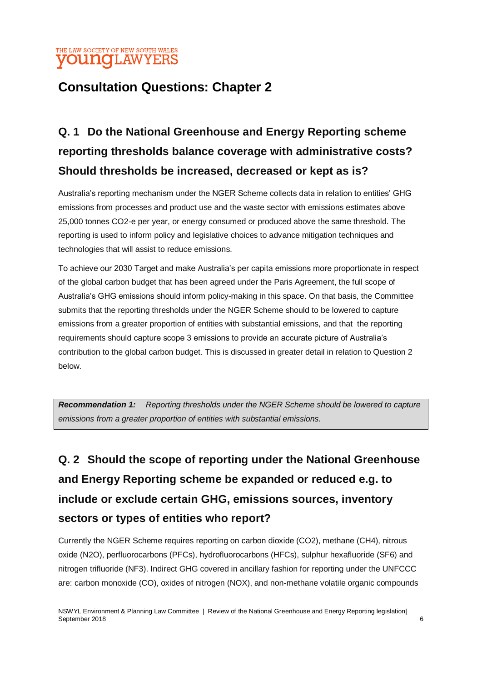#### THE LAW SOCIETY OF NEW SOUTH WALES **VOUNGLAWYERS**

### **Consultation Questions: Chapter 2**

## **Q. 1 Do the National Greenhouse and Energy Reporting scheme reporting thresholds balance coverage with administrative costs? Should thresholds be increased, decreased or kept as is?**

Australia's reporting mechanism under the NGER Scheme collects data in relation to entities' GHG emissions from processes and product use and the waste sector with emissions estimates above 25,000 tonnes CO2-e per year, or energy consumed or produced above the same threshold. The reporting is used to inform policy and legislative choices to advance mitigation techniques and technologies that will assist to reduce emissions.

To achieve our 2030 Target and make Australia's per capita emissions more proportionate in respect of the global carbon budget that has been agreed under the Paris Agreement, the full scope of Australia's GHG emissions should inform policy-making in this space. On that basis, the Committee submits that the reporting thresholds under the NGER Scheme should to be lowered to capture emissions from a greater proportion of entities with substantial emissions, and that the reporting requirements should capture scope 3 emissions to provide an accurate picture of Australia's contribution to the global carbon budget. This is discussed in greater detail in relation to Question 2 below.

*Recommendation 1: Reporting thresholds under the NGER Scheme should be lowered to capture emissions from a greater proportion of entities with substantial emissions.*

## **Q. 2 Should the scope of reporting under the National Greenhouse and Energy Reporting scheme be expanded or reduced e.g. to include or exclude certain GHG, emissions sources, inventory sectors or types of entities who report?**

Currently the NGER Scheme requires reporting on carbon dioxide (CO2), methane (CH4), nitrous oxide (N2O), perfluorocarbons (PFCs), hydrofluorocarbons (HFCs), sulphur hexafluoride (SF6) and nitrogen trifluoride (NF3). Indirect GHG covered in ancillary fashion for reporting under the UNFCCC are: carbon monoxide (CO), oxides of nitrogen (NOX), and non-methane volatile organic compounds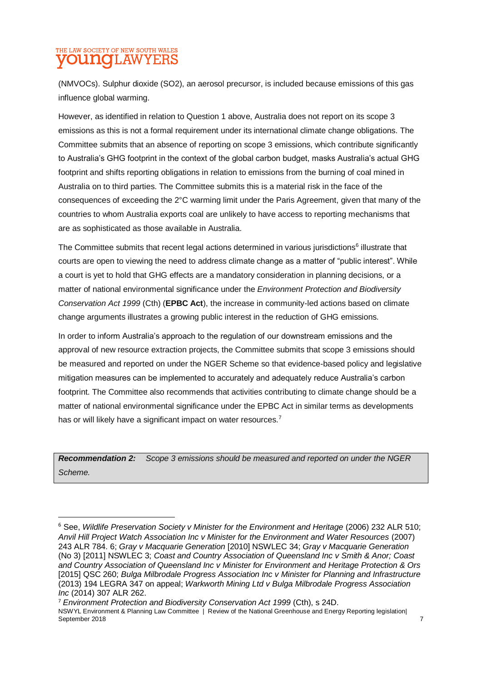#### THE LAW SOCIETY OF NEW SOUTH WALES **UNG**LAWYERS

1

(NMVOCs). Sulphur dioxide (SO2), an aerosol precursor, is included because emissions of this gas influence global warming.

However, as identified in relation to Question 1 above, Australia does not report on its scope 3 emissions as this is not a formal requirement under its international climate change obligations. The Committee submits that an absence of reporting on scope 3 emissions, which contribute significantly to Australia's GHG footprint in the context of the global carbon budget, masks Australia's actual GHG footprint and shifts reporting obligations in relation to emissions from the burning of coal mined in Australia on to third parties. The Committee submits this is a material risk in the face of the consequences of exceeding the 2°C warming limit under the Paris Agreement, given that many of the countries to whom Australia exports coal are unlikely to have access to reporting mechanisms that are as sophisticated as those available in Australia.

The Committee submits that recent legal actions determined in various jurisdictions<sup>6</sup> illustrate that courts are open to viewing the need to address climate change as a matter of "public interest". While a court is yet to hold that GHG effects are a mandatory consideration in planning decisions, or a matter of national environmental significance under the *Environment Protection and Biodiversity Conservation Act 1999* (Cth) (**EPBC Act**), the increase in community-led actions based on climate change arguments illustrates a growing public interest in the reduction of GHG emissions.

In order to inform Australia's approach to the regulation of our downstream emissions and the approval of new resource extraction projects, the Committee submits that scope 3 emissions should be measured and reported on under the NGER Scheme so that evidence-based policy and legislative mitigation measures can be implemented to accurately and adequately reduce Australia's carbon footprint. The Committee also recommends that activities contributing to climate change should be a matter of national environmental significance under the EPBC Act in similar terms as developments has or will likely have a significant impact on water resources.<sup>7</sup>

*Recommendation 2: Scope 3 emissions should be measured and reported on under the NGER Scheme.*

<sup>6</sup> See, *Wildlife Preservation Society v Minister for the Environment and Heritage* (2006) 232 ALR 510; *Anvil Hill Project Watch Association Inc v Minister for the Environment and Water Resources* (2007) 243 ALR 784. 6; *Gray v Macquarie Generation* [2010] NSWLEC 34; *Gray v Macquarie Generation* (No 3) [2011] NSWLEC 3; *Coast and Country Association of Queensland Inc v Smith & Anor; Coast and Country Association of Queensland Inc v Minister for Environment and Heritage Protection & Ors* [2015] QSC 260; *Bulga Milbrodale Progress Association Inc v Minister for Planning and Infrastructure* (2013) 194 LEGRA 347 on appeal; *Warkworth Mining Ltd v Bulga Milbrodale Progress Association Inc* (2014) 307 ALR 262.

NSWYL Environment & Planning Law Committee | Review of the National Greenhouse and Energy Reporting legislation| September 2018 **7** 2019 **7** 2019 **7** 2019 **7** 2019 **7** 2019 **7** 2019 **7** 2019 **7** 2019 **7** 2019 **7** 2019 **7** 2019 **7** 2019 **7** 2019 **7** 2019 **7** 2019 **7** 2019 **7** 2019 **7** 2019 **7** 2019 **7** 2019 **7** 2019 **7** 2019 **7** 2019 <sup>7</sup> *Environment Protection and Biodiversity Conservation Act 1999* (Cth), s 24D.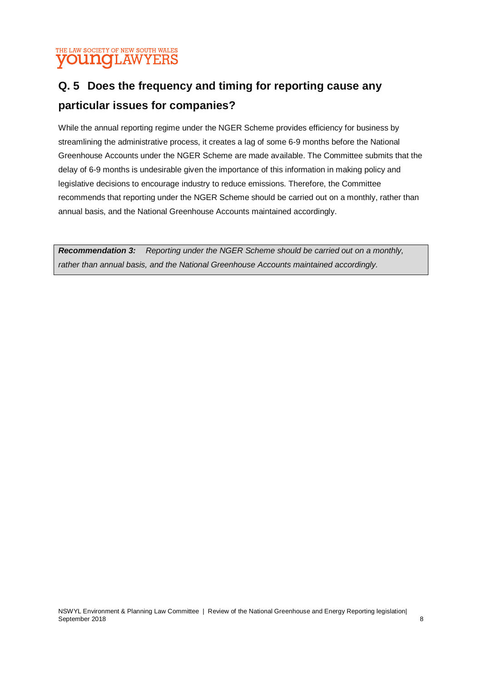#### THE LAW SOCIETY OF NEW SOUTH WALES **young**LAWYERS

### **Q. 5 Does the frequency and timing for reporting cause any particular issues for companies?**

While the annual reporting regime under the NGER Scheme provides efficiency for business by streamlining the administrative process, it creates a lag of some 6-9 months before the National Greenhouse Accounts under the NGER Scheme are made available. The Committee submits that the delay of 6-9 months is undesirable given the importance of this information in making policy and legislative decisions to encourage industry to reduce emissions. Therefore, the Committee recommends that reporting under the NGER Scheme should be carried out on a monthly, rather than annual basis, and the National Greenhouse Accounts maintained accordingly.

*Recommendation 3: Reporting under the NGER Scheme should be carried out on a monthly, rather than annual basis, and the National Greenhouse Accounts maintained accordingly.*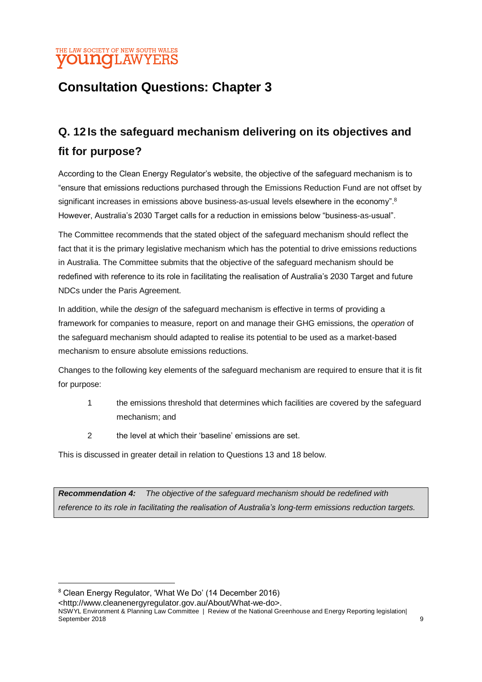#### THE LAW SOCIETY OF NEW SOUTH WALES **younq**LAWYERS

### **Consultation Questions: Chapter 3**

### **Q. 12Is the safeguard mechanism delivering on its objectives and fit for purpose?**

According to the Clean Energy Regulator's website, the objective of the safeguard mechanism is to "ensure that emissions reductions purchased through the [Emissions Reduction Fund a](http://www.cleanenergyregulator.gov.au/ERF/About-the-Emissions-Reduction-Fund)re not offset by significant increases in emissions above business-as-usual levels elsewhere in the economy".<sup>8</sup> However, Australia's 2030 Target calls for a reduction in emissions below "business-as-usual".

The Committee recommends that the stated object of the safeguard mechanism should reflect the fact that it is the primary legislative mechanism which has the potential to drive emissions reductions in Australia. The Committee submits that the objective of the safeguard mechanism should be redefined with reference to its role in facilitating the realisation of Australia's 2030 Target and future NDCs under the Paris Agreement.

In addition, while the *design* of the safeguard mechanism is effective in terms of providing a framework for companies to measure, report on and manage their GHG emissions, the *operation* of the safeguard mechanism should adapted to realise its potential to be used as a market-based mechanism to ensure absolute emissions reductions.

Changes to the following key elements of the safeguard mechanism are required to ensure that it is fit for purpose:

- 1 the emissions threshold that determines which facilities are covered by the safeguard mechanism; and
- 2 the level at which their 'baseline' emissions are set.

This is discussed in greater detail in relation to Questions 13 and 18 below.

*Recommendation 4: The objective of the safeguard mechanism should be redefined with reference to its role in facilitating the realisation of Australia's long-term emissions reduction targets.*

-

<http://www.cleanenergyregulator.gov.au/About/What-we-do>.

NSWYL Environment & Planning Law Committee | Review of the National Greenhouse and Energy Reporting legislation| September 2018 9

<sup>8</sup> Clean Energy Regulator, 'What We Do' (14 December 2016)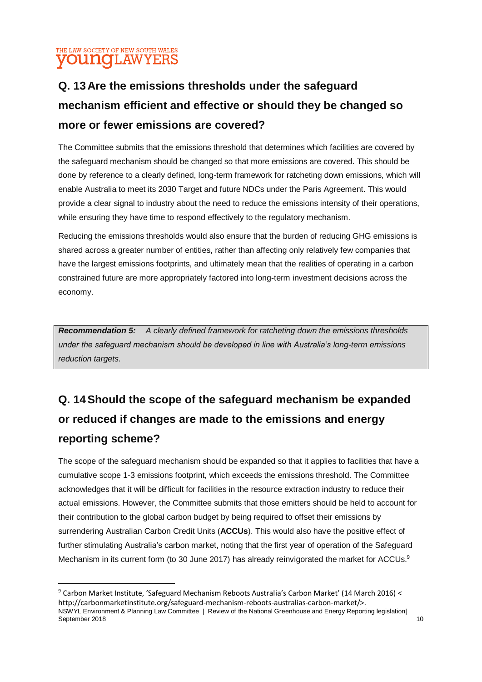#### THE LAW SOCIETY OF NEW SOUTH WALES **yOUNG**LAWYERS

**.** 

### **Q. 13Are the emissions thresholds under the safeguard mechanism efficient and effective or should they be changed so more or fewer emissions are covered?**

The Committee submits that the emissions threshold that determines which facilities are covered by the safeguard mechanism should be changed so that more emissions are covered. This should be done by reference to a clearly defined, long-term framework for ratcheting down emissions, which will enable Australia to meet its 2030 Target and future NDCs under the Paris Agreement. This would provide a clear signal to industry about the need to reduce the emissions intensity of their operations, while ensuring they have time to respond effectively to the regulatory mechanism.

Reducing the emissions thresholds would also ensure that the burden of reducing GHG emissions is shared across a greater number of entities, rather than affecting only relatively few companies that have the largest emissions footprints, and ultimately mean that the realities of operating in a carbon constrained future are more appropriately factored into long-term investment decisions across the economy.

*Recommendation 5: A clearly defined framework for ratcheting down the emissions thresholds under the safeguard mechanism should be developed in line with Australia's long-term emissions reduction targets.*

### **Q. 14Should the scope of the safeguard mechanism be expanded or reduced if changes are made to the emissions and energy reporting scheme?**

The scope of the safeguard mechanism should be expanded so that it applies to facilities that have a cumulative scope 1-3 emissions footprint, which exceeds the emissions threshold. The Committee acknowledges that it will be difficult for facilities in the resource extraction industry to reduce their actual emissions. However, the Committee submits that those emitters should be held to account for their contribution to the global carbon budget by being required to offset their emissions by surrendering Australian Carbon Credit Units (**ACCUs**). This would also have the positive effect of further stimulating Australia's carbon market, noting that the first year of operation of the Safeguard Mechanism in its current form (to 30 June 2017) has already reinvigorated the market for ACCUs.<sup>9</sup>

NSWYL Environment & Planning Law Committee | Review of the National Greenhouse and Energy Reporting legislation| September 2018  $\frac{1}{2}$  10 <sup>9</sup> Carbon Market Institute, 'Safeguard Mechanism Reboots Australia's Carbon Market' (14 March 2016) < http://carbonmarketinstitute.org/safeguard-mechanism-reboots-australias-carbon-market/>.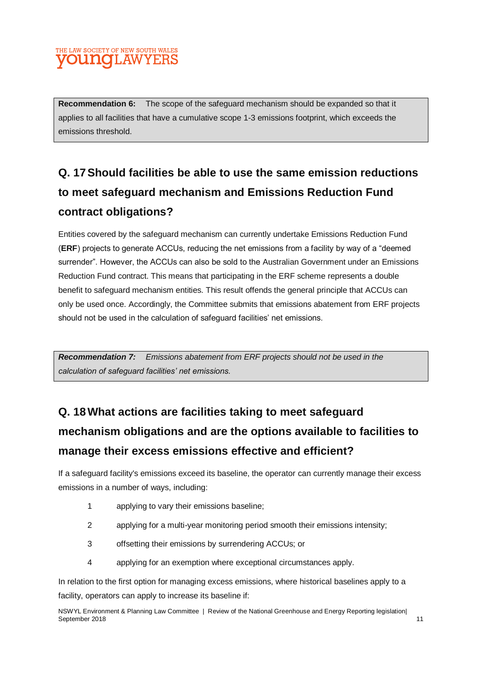#### HE LAW SOCIETY OF NEW SOUTH WALES **OUNCLAWYERS**

**Recommendation 6:** The scope of the safeguard mechanism should be expanded so that it applies to all facilities that have a cumulative scope 1-3 emissions footprint, which exceeds the emissions threshold.

### **Q. 17Should facilities be able to use the same emission reductions to meet safeguard mechanism and Emissions Reduction Fund contract obligations?**

Entities covered by the safeguard mechanism can currently undertake Emissions Reduction Fund (**ERF**) projects to generate ACCUs, reducing the net emissions from a facility by way of a "deemed surrender". However, the ACCUs can also be sold to the Australian Government under an Emissions Reduction Fund contract. This means that participating in the ERF scheme represents a double benefit to safeguard mechanism entities. This result offends the general principle that ACCUs can only be used once. Accordingly, the Committee submits that emissions abatement from ERF projects should not be used in the calculation of safeguard facilities' net emissions.

*Recommendation 7: Emissions abatement from ERF projects should not be used in the calculation of safeguard facilities' net emissions.*

## **Q. 18What actions are facilities taking to meet safeguard mechanism obligations and are the options available to facilities to manage their excess emissions effective and efficient?**

If a safeguard facility's emissions exceed its baseline, the operator can currently manage their excess emissions in a number of ways, including:

- 1 applying to vary their emissions baseline;
- 2 applying for a multi-year monitoring period smooth their emissions intensity;
- 3 offsetting their emissions by surrendering ACCUs; or
- 4 applying for an exemption where exceptional circumstances apply.

In relation to the first option for managing excess emissions, where historical baselines apply to a facility, operators can apply to increase its baseline if:

NSWYL Environment & Planning Law Committee | Review of the National Greenhouse and Energy Reporting legislation| September 2018 11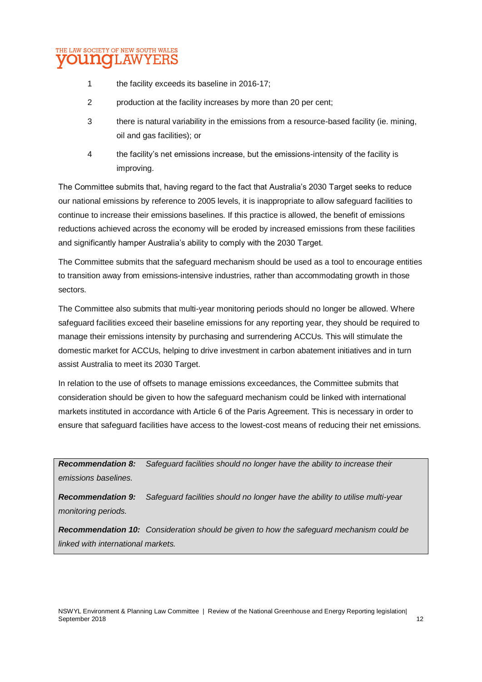

- 1 the facility exceeds its baseline in 2016-17;
- 2 production at the facility increases by more than 20 per cent;
- 3 there is natural variability in the emissions from a resource-based facility (ie. mining, oil and gas facilities); or
- 4 the facility's net emissions increase, but the emissions-intensity of the facility is improving.

The Committee submits that, having regard to the fact that Australia's 2030 Target seeks to reduce our national emissions by reference to 2005 levels, it is inappropriate to allow safeguard facilities to continue to increase their emissions baselines. If this practice is allowed, the benefit of emissions reductions achieved across the economy will be eroded by increased emissions from these facilities and significantly hamper Australia's ability to comply with the 2030 Target.

The Committee submits that the safeguard mechanism should be used as a tool to encourage entities to transition away from emissions-intensive industries, rather than accommodating growth in those sectors.

The Committee also submits that multi-year monitoring periods should no longer be allowed. Where safeguard facilities exceed their baseline emissions for any reporting year, they should be required to manage their emissions intensity by purchasing and surrendering ACCUs. This will stimulate the domestic market for ACCUs, helping to drive investment in carbon abatement initiatives and in turn assist Australia to meet its 2030 Target.

In relation to the use of offsets to manage emissions exceedances, the Committee submits that consideration should be given to how the safeguard mechanism could be linked with international markets instituted in accordance with Article 6 of the Paris Agreement. This is necessary in order to ensure that safeguard facilities have access to the lowest-cost means of reducing their net emissions.

*Recommendation 8: Safeguard facilities should no longer have the ability to increase their emissions baselines.*

*Recommendation 9: Safeguard facilities should no longer have the ability to utilise multi-year monitoring periods.*

*Recommendation 10: Consideration should be given to how the safeguard mechanism could be linked with international markets.*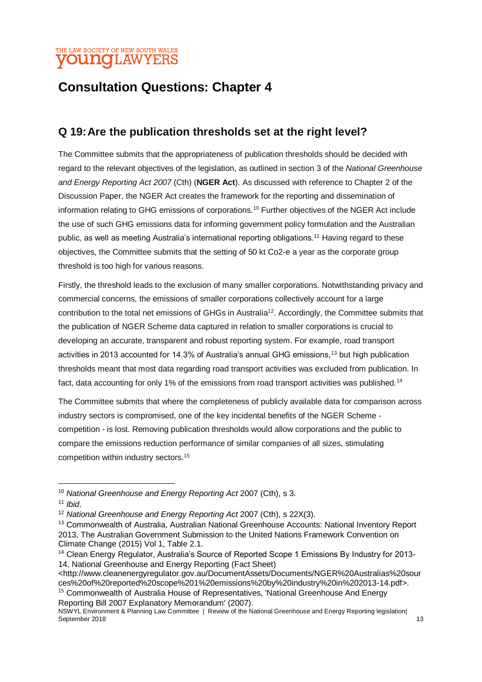#### HE LAW SOCIETY OF NEW SOUTH WALES **younq**LAWYERS

### **Consultation Questions: Chapter 4**

### **Q 19:Are the publication thresholds set at the right level?**

The Committee submits that the appropriateness of publication thresholds should be decided with regard to the relevant objectives of the legislation, as outlined in section 3 of the *National Greenhouse and Energy Reporting Act 2007* (Cth) (**NGER Act**). As discussed with reference to Chapter 2 of the Discussion Paper, the NGER Act creates the framework for the reporting and dissemination of information relating to GHG emissions of corporations.<sup>10</sup> Further objectives of the NGER Act include the use of such GHG emissions data for informing government policy formulation and the Australian public, as well as meeting Australia's international reporting obligations.<sup>11</sup> Having regard to these objectives, the Committee submits that the setting of 50 kt Co2-e a year as the corporate group threshold is too high for various reasons.

Firstly, the threshold leads to the exclusion of many smaller corporations. Notwithstanding privacy and commercial concerns, the emissions of smaller corporations collectively account for a large contribution to the total net emissions of GHGs in Australia<sup>12</sup>. Accordingly, the Committee submits that the publication of NGER Scheme data captured in relation to smaller corporations is crucial to developing an accurate, transparent and robust reporting system. For example, road transport activities in 2013 accounted for 14.3% of Australia's annual GHG emissions,<sup>13</sup> but high publication thresholds meant that most data regarding road transport activities was excluded from publication. In fact, data accounting for only 1% of the emissions from road transport activities was published.<sup>14</sup>

The Committee submits that where the completeness of publicly available data for comparison across industry sectors is compromised, one of the key incidental benefits of the NGER Scheme competition - is lost. Removing publication thresholds would allow corporations and the public to compare the emissions reduction performance of similar companies of all sizes, stimulating competition within industry sectors.<sup>15</sup>

-

<sup>10</sup> *National Greenhouse and Energy Reporting Act* 2007 (Cth), s 3.

<sup>11</sup> *Ibid*.

<sup>&</sup>lt;sup>12</sup> National Greenhouse and Energy Reporting Act 2007 (Cth), s 22X(3).

<sup>&</sup>lt;sup>13</sup> Commonwealth of Australia, Australian National Greenhouse Accounts: National Inventory Report 2013, The Australian Government Submission to the United Nations Framework Convention on Climate Change (2015) Vol 1, Table 2.1.

<sup>&</sup>lt;sup>14</sup> Clean Energy Regulator, Australia's Source of Reported Scope 1 Emissions By Industry for 2013-14, National Greenhouse and Energy Reporting (Fact Sheet)

<sup>&</sup>lt;http://www.cleanenergyregulator.gov.au/DocumentAssets/Documents/NGER%20Australias%20sour ces%20of%20reported%20scope%201%20emissions%20by%20industry%20in%202013-14.pdf>. <sup>15</sup> Commonwealth of Australia House of Representatives, 'National Greenhouse And Energy Reporting Bill 2007 Explanatory Memorandum' (2007).

NSWYL Environment & Planning Law Committee | Review of the National Greenhouse and Energy Reporting legislation| September 2018 13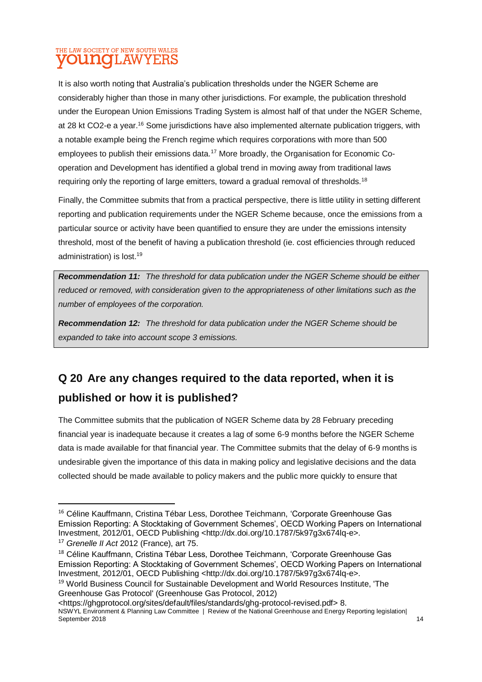#### THE LAW SOCIETY OF NEW SOUTH WALES **UNOLAWYERS**

It is also worth noting that Australia's publication thresholds under the NGER Scheme are considerably higher than those in many other jurisdictions. For example, the publication threshold under the European Union Emissions Trading System is almost half of that under the NGER Scheme, at 28 kt CO2-e a year.<sup>16</sup> Some jurisdictions have also implemented alternate publication triggers, with a notable example being the French regime which requires corporations with more than 500 employees to publish their emissions data.<sup>17</sup> More broadly, the Organisation for Economic Cooperation and Development has identified a global trend in moving away from traditional laws requiring only the reporting of large emitters, toward a gradual removal of thresholds.<sup>18</sup>

Finally, the Committee submits that from a practical perspective, there is little utility in setting different reporting and publication requirements under the NGER Scheme because, once the emissions from a particular source or activity have been quantified to ensure they are under the emissions intensity threshold, most of the benefit of having a publication threshold (ie. cost efficiencies through reduced administration) is lost.<sup>19</sup>

*Recommendation 11: The threshold for data publication under the NGER Scheme should be either reduced or removed, with consideration given to the appropriateness of other limitations such as the number of employees of the corporation.*

*Recommendation 12: The threshold for data publication under the NGER Scheme should be expanded to take into account scope 3 emissions.*

### **Q 20 Are any changes required to the data reported, when it is published or how it is published?**

The Committee submits that the publication of NGER Scheme data by 28 February preceding financial year is inadequate because it creates a lag of some 6-9 months before the NGER Scheme data is made available for that financial year. The Committee submits that the delay of 6-9 months is undesirable given the importance of this data in making policy and legislative decisions and the data collected should be made available to policy makers and the public more quickly to ensure that

1

<sup>&</sup>lt;sup>16</sup> Céline Kauffmann, Cristina Tébar Less, Dorothee Teichmann, 'Corporate Greenhouse Gas Emission Reporting: A Stocktaking of Government Schemes', OECD Working Papers on International Investment, 2012/01, OECD Publishing <http://dx.doi.org/10.1787/5k97g3x674lq-e>.

<sup>17</sup> *Grenelle II Act* 2012 (France), art 75.

<sup>&</sup>lt;sup>18</sup> Céline Kauffmann, Cristina Tébar Less, Dorothee Teichmann, 'Corporate Greenhouse Gas Emission Reporting: A Stocktaking of Government Schemes', OECD Working Papers on International Investment, 2012/01, OECD Publishing <http://dx.doi.org/10.1787/5k97g3x674lq-e>.

<sup>&</sup>lt;sup>19</sup> World Business Council for Sustainable Development and World Resources Institute, 'The Greenhouse Gas Protocol' (Greenhouse Gas Protocol, 2012)

NSWYL Environment & Planning Law Committee | Review of the National Greenhouse and Energy Reporting legislation| September 2018 14 <https://ghgprotocol.org/sites/default/files/standards/ghg-protocol-revised.pdf> 8.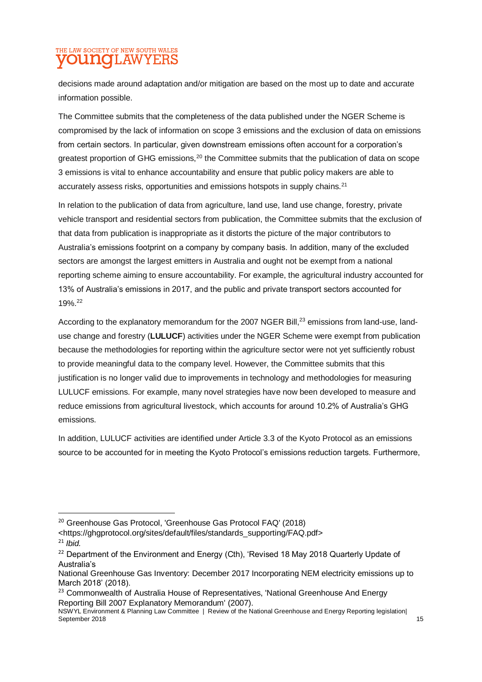#### THE LAW SOCIETY OF NEW SOUTH WALES **70UNOLAW** YERS

decisions made around adaptation and/or mitigation are based on the most up to date and accurate information possible.

The Committee submits that the completeness of the data published under the NGER Scheme is compromised by the lack of information on scope 3 emissions and the exclusion of data on emissions from certain sectors. In particular, given downstream emissions often account for a corporation's greatest proportion of GHG emissions,<sup>20</sup> the Committee submits that the publication of data on scope 3 emissions is vital to enhance accountability and ensure that public policy makers are able to accurately assess risks, opportunities and emissions hotspots in supply chains.<sup>21</sup>

In relation to the publication of data from agriculture, land use, land use change, forestry, private vehicle transport and residential sectors from publication, the Committee submits that the exclusion of that data from publication is inappropriate as it distorts the picture of the major contributors to Australia's emissions footprint on a company by company basis. In addition, many of the excluded sectors are amongst the largest emitters in Australia and ought not be exempt from a national reporting scheme aiming to ensure accountability. For example, the agricultural industry accounted for 13% of Australia's emissions in 2017, and the public and private transport sectors accounted for 19%.<sup>22</sup>

According to the explanatory memorandum for the 2007 NGER Bill,<sup>23</sup> emissions from land-use, landuse change and forestry (**LULUCF**) activities under the NGER Scheme were exempt from publication because the methodologies for reporting within the agriculture sector were not yet sufficiently robust to provide meaningful data to the company level. However, the Committee submits that this justification is no longer valid due to improvements in technology and methodologies for measuring LULUCF emissions. For example, many novel strategies have now been developed to measure and reduce emissions from agricultural livestock, which accounts for around 10.2% of Australia's GHG emissions.

In addition, LULUCF activities are identified under Article 3.3 of the Kyoto Protocol as an emissions source to be accounted for in meeting the Kyoto Protocol's emissions reduction targets. Furthermore,

**.** 

<https://ghgprotocol.org/sites/default/files/standards\_supporting/FAQ.pdf> <sup>21</sup> *Ibid.*

<sup>20</sup> Greenhouse Gas Protocol, 'Greenhouse Gas Protocol FAQ' (2018)

<sup>&</sup>lt;sup>22</sup> Department of the Environment and Energy (Cth), 'Revised 18 May 2018 Quarterly Update of Australia's

National Greenhouse Gas Inventory: December 2017 Incorporating NEM electricity emissions up to March 2018' (2018).

<sup>&</sup>lt;sup>23</sup> Commonwealth of Australia House of Representatives, 'National Greenhouse And Energy Reporting Bill 2007 Explanatory Memorandum' (2007).

NSWYL Environment & Planning Law Committee | Review of the National Greenhouse and Energy Reporting legislation| September 2018 15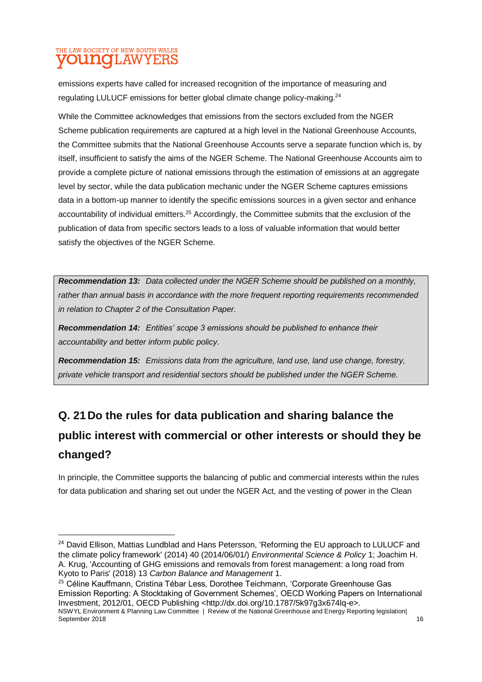### THE LAW SOCIETY OF NEW SOUTH WALES **UNOT AWYERS**

**.** 

emissions experts have called for increased recognition of the importance of measuring and regulating LULUCF emissions for better global climate change policy-making.<sup>24</sup>

While the Committee acknowledges that emissions from the sectors excluded from the NGER Scheme publication requirements are captured at a high level in the National Greenhouse Accounts, the Committee submits that the National Greenhouse Accounts serve a separate function which is, by itself, insufficient to satisfy the aims of the NGER Scheme. The National Greenhouse Accounts aim to provide a complete picture of national emissions through the estimation of emissions at an aggregate level by sector, while the data publication mechanic under the NGER Scheme captures emissions data in a bottom-up manner to identify the specific emissions sources in a given sector and enhance accountability of individual emitters.<sup>25</sup> Accordingly, the Committee submits that the exclusion of the publication of data from specific sectors leads to a loss of valuable information that would better satisfy the objectives of the NGER Scheme.

*Recommendation 13: Data collected under the NGER Scheme should be published on a monthly, rather than annual basis in accordance with the more frequent reporting requirements recommended in relation to Chapter 2 of the Consultation Paper.*

*Recommendation 14: Entities' scope 3 emissions should be published to enhance their accountability and better inform public policy.*

*Recommendation 15: Emissions data from the agriculture, land use, land use change, forestry, private vehicle transport and residential sectors should be published under the NGER Scheme.* 

## **Q. 21Do the rules for data publication and sharing balance the public interest with commercial or other interests or should they be changed?**

In principle, the Committee supports the balancing of public and commercial interests within the rules for data publication and sharing set out under the NGER Act, and the vesting of power in the Clean

<sup>&</sup>lt;sup>24</sup> David Ellison, Mattias Lundblad and Hans Petersson, 'Reforming the EU approach to LULUCF and the climate policy framework' (2014) 40 (2014/06/01/) *Environmental Science & Policy* 1; Joachim H. A. Krug, 'Accounting of GHG emissions and removals from forest management: a long road from Kyoto to Paris' (2018) 13 *Carbon Balance and Management* 1.

NSWYL Environment & Planning Law Committee | Review of the National Greenhouse and Energy Reporting legislation| <sup>25</sup> Céline Kauffmann, Cristina Tébar Less, Dorothee Teichmann, 'Corporate Greenhouse Gas Emission Reporting: A Stocktaking of Government Schemes', OECD Working Papers on International Investment, 2012/01, OECD Publishing <http://dx.doi.org/10.1787/5k97g3x674lq-e>.

September 2018 16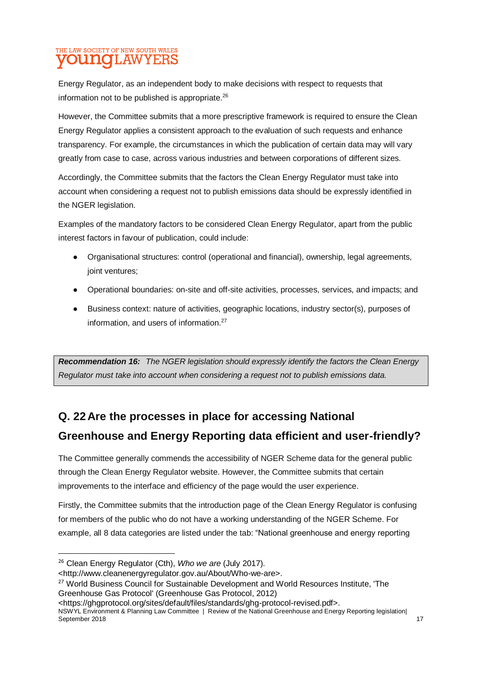### THE LAW SOCIETY OF NEW SOUTH WALES **UNOLAWYERS**

Energy Regulator, as an independent body to make decisions with respect to requests that information not to be published is appropriate.<sup>26</sup>

However, the Committee submits that a more prescriptive framework is required to ensure the Clean Energy Regulator applies a consistent approach to the evaluation of such requests and enhance transparency. For example, the circumstances in which the publication of certain data may will vary greatly from case to case, across various industries and between corporations of different sizes.

Accordingly, the Committee submits that the factors the Clean Energy Regulator must take into account when considering a request not to publish emissions data should be expressly identified in the NGER legislation.

Examples of the mandatory factors to be considered Clean Energy Regulator, apart from the public interest factors in favour of publication, could include:

- Organisational structures: control (operational and financial), ownership, legal agreements, joint ventures;
- Operational boundaries: on-site and off-site activities, processes, services, and impacts; and
- Business context: nature of activities, geographic locations, industry sector(s), purposes of information, and users of information.<sup>27</sup>

*Recommendation 16: The NGER legislation should expressly identify the factors the Clean Energy Regulator must take into account when considering a request not to publish emissions data.*

### **Q. 22Are the processes in place for accessing National**

### **Greenhouse and Energy Reporting data efficient and user-friendly?**

The Committee generally commends the accessibility of NGER Scheme data for the general public through the Clean Energy Regulator website. However, the Committee submits that certain improvements to the interface and efficiency of the page would the user experience.

Firstly, the Committee submits that the introduction page of the Clean Energy Regulator is confusing for members of the public who do not have a working understanding of the NGER Scheme. For example, all 8 data categories are listed under the tab: "National greenhouse and energy reporting

1

<sup>26</sup> Clean Energy Regulator (Cth), *Who we are* (July 2017).

<sup>&</sup>lt;http://www.cleanenergyregulator.gov.au/About/Who-we-are>.

<sup>&</sup>lt;sup>27</sup> World Business Council for Sustainable Development and World Resources Institute. 'The Greenhouse Gas Protocol' (Greenhouse Gas Protocol, 2012)

<sup>&</sup>lt;https://ghgprotocol.org/sites/default/files/standards/ghg-protocol-revised.pdf>.

NSWYL Environment & Planning Law Committee | Review of the National Greenhouse and Energy Reporting legislation| September 2018 17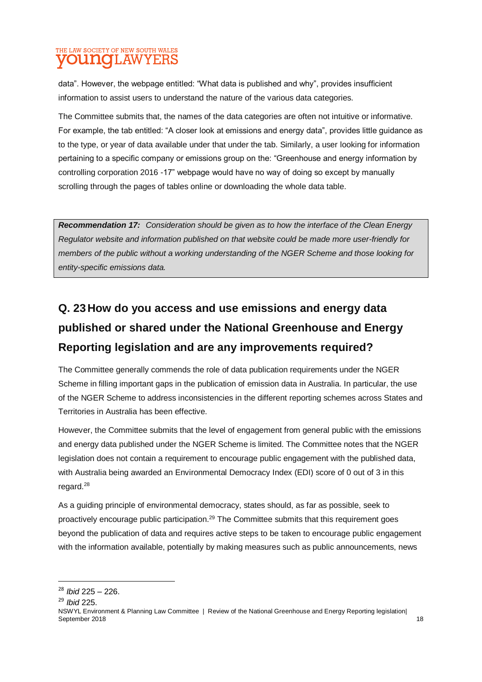#### THE LAW SOCIETY OF NEW SOUTH WALES **70UNCLAWYERS**

data". However, the webpage entitled: "What data is published and why", provides insufficient information to assist users to understand the nature of the various data categories.

The Committee submits that, the names of the data categories are often not intuitive or informative. For example, the tab entitled: "A closer look at emissions and energy data", provides little guidance as to the type, or year of data available under that under the tab. Similarly, a user looking for information pertaining to a specific company or emissions group on the: "Greenhouse and energy information by controlling corporation 2016 -17" webpage would have no way of doing so except by manually scrolling through the pages of tables online or downloading the whole data table.

*Recommendation 17: Consideration should be given as to how the interface of the Clean Energy Regulator website and information published on that website could be made more user-friendly for members of the public without a working understanding of the NGER Scheme and those looking for entity-specific emissions data.*

### **Q. 23How do you access and use emissions and energy data published or shared under the National Greenhouse and Energy Reporting legislation and are any improvements required?**

The Committee generally commends the role of data publication requirements under the NGER Scheme in filling important gaps in the publication of emission data in Australia. In particular, the use of the NGER Scheme to address inconsistencies in the different reporting schemes across States and Territories in Australia has been effective.

However, the Committee submits that the level of engagement from general public with the emissions and energy data published under the NGER Scheme is limited. The Committee notes that the NGER legislation does not contain a requirement to encourage public engagement with the published data, with Australia being awarded an Environmental Democracy Index (EDI) score of 0 out of 3 in this regard.<sup>28</sup>

As a guiding principle of environmental democracy, states should, as far as possible, seek to proactively encourage public participation.<sup>29</sup> The Committee submits that this requirement goes beyond the publication of data and requires active steps to be taken to encourage public engagement with the information available, potentially by making measures such as public announcements, news

<sup>29</sup> *Ibid* 225.

**.** 

<sup>28</sup> *Ibid* 225 – 226.

NSWYL Environment & Planning Law Committee | Review of the National Greenhouse and Energy Reporting legislation| September 2018 **18** 18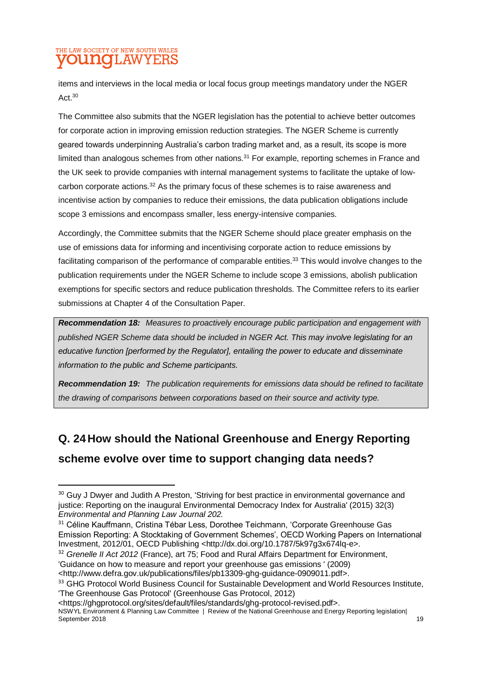### THE LAW SOCIETY OF NEW SOUTH WALES **UNOLAWYERS**

**.** 

items and interviews in the local media or local focus group meetings mandatory under the NGER Act.<sup>30</sup>

The Committee also submits that the NGER legislation has the potential to achieve better outcomes for corporate action in improving emission reduction strategies. The NGER Scheme is currently geared towards underpinning Australia's carbon trading market and, as a result, its scope is more limited than analogous schemes from other nations. $31$  For example, reporting schemes in France and the UK seek to provide companies with internal management systems to facilitate the uptake of lowcarbon corporate actions.<sup>32</sup> As the primary focus of these schemes is to raise awareness and incentivise action by companies to reduce their emissions, the data publication obligations include scope 3 emissions and encompass smaller, less energy-intensive companies.

Accordingly, the Committee submits that the NGER Scheme should place greater emphasis on the use of emissions data for informing and incentivising corporate action to reduce emissions by facilitating comparison of the performance of comparable entities.<sup>33</sup> This would involve changes to the publication requirements under the NGER Scheme to include scope 3 emissions, abolish publication exemptions for specific sectors and reduce publication thresholds. The Committee refers to its earlier submissions at Chapter 4 of the Consultation Paper.

*Recommendation 18: Measures to proactively encourage public participation and engagement with published NGER Scheme data should be included in NGER Act. This may involve legislating for an educative function [performed by the Regulator], entailing the power to educate and disseminate information to the public and Scheme participants.*

*Recommendation 19: The publication requirements for emissions data should be refined to facilitate the drawing of comparisons between corporations based on their source and activity type.*

### **Q. 24How should the National Greenhouse and Energy Reporting scheme evolve over time to support changing data needs?**

<sup>31</sup> Céline Kauffmann, Cristina Tébar Less, Dorothee Teichmann, 'Corporate Greenhouse Gas Emission Reporting: A Stocktaking of Government Schemes', OECD Working Papers on International Investment, 2012/01, OECD Publishing <http://dx.doi.org/10.1787/5k97g3x674lq-e>.

<http://www.defra.gov.uk/publications/files/pb13309-ghg-guidance-0909011.pdf>.

<sup>&</sup>lt;sup>30</sup> Guy J Dwyer and Judith A Preston, 'Striving for best practice in environmental governance and justice: Reporting on the inaugural Environmental Democracy Index for Australia' (2015) 32(3) *Environmental and Planning Law Journal 202.*

<sup>32</sup> *Grenelle II Act 2012* (France), art 75; Food and Rural Affairs Department for Environment, 'Guidance on how to measure and report your greenhouse gas emissions ' (2009)

<sup>&</sup>lt;sup>33</sup> GHG Protocol World Business Council for Sustainable Development and World Resources Institute, 'The Greenhouse Gas Protocol' (Greenhouse Gas Protocol, 2012)

<sup>&</sup>lt;https://ghgprotocol.org/sites/default/files/standards/ghg-protocol-revised.pdf>.

NSWYL Environment & Planning Law Committee | Review of the National Greenhouse and Energy Reporting legislation| September 2018 19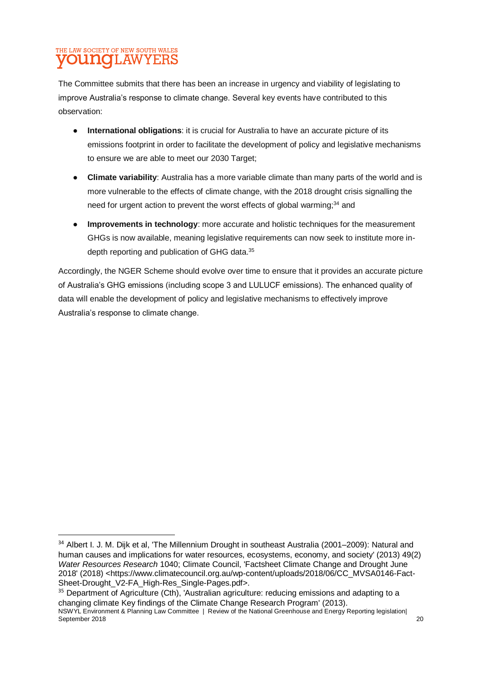#### THE LAW SOCIETY OF NEW SOUTH WALES **UNOLAW** YERS

**.** 

The Committee submits that there has been an increase in urgency and viability of legislating to improve Australia's response to climate change. Several key events have contributed to this observation:

- **International obligations**: it is crucial for Australia to have an accurate picture of its emissions footprint in order to facilitate the development of policy and legislative mechanisms to ensure we are able to meet our 2030 Target;
- **Climate variability**: Australia has a more variable climate than many parts of the world and is more vulnerable to the effects of climate change, with the 2018 drought crisis signalling the need for urgent action to prevent the worst effects of global warming;<sup>34</sup> and
- **Improvements in technology**: more accurate and holistic techniques for the measurement GHGs is now available, meaning legislative requirements can now seek to institute more indepth reporting and publication of GHG data.<sup>35</sup>

Accordingly, the NGER Scheme should evolve over time to ensure that it provides an accurate picture of Australia's GHG emissions (including scope 3 and LULUCF emissions). The enhanced quality of data will enable the development of policy and legislative mechanisms to effectively improve Australia's response to climate change.

NSWYL Environment & Planning Law Committee | Review of the National Greenhouse and Energy Reporting legislation| September 2018 20 <sup>35</sup> Department of Agriculture (Cth), 'Australian agriculture: reducing emissions and adapting to a changing climate Key findings of the Climate Change Research Program' (2013).

<sup>&</sup>lt;sup>34</sup> Albert I. J. M. Dijk et al, 'The Millennium Drought in southeast Australia (2001–2009): Natural and human causes and implications for water resources, ecosystems, economy, and society' (2013) 49(2) *Water Resources Research* 1040; Climate Council, 'Factsheet Climate Change and Drought June 2018' (2018) <https://www.climatecouncil.org.au/wp-content/uploads/2018/06/CC\_MVSA0146-Fact-Sheet-Drought\_V2-FA\_High-Res\_Single-Pages.pdf>.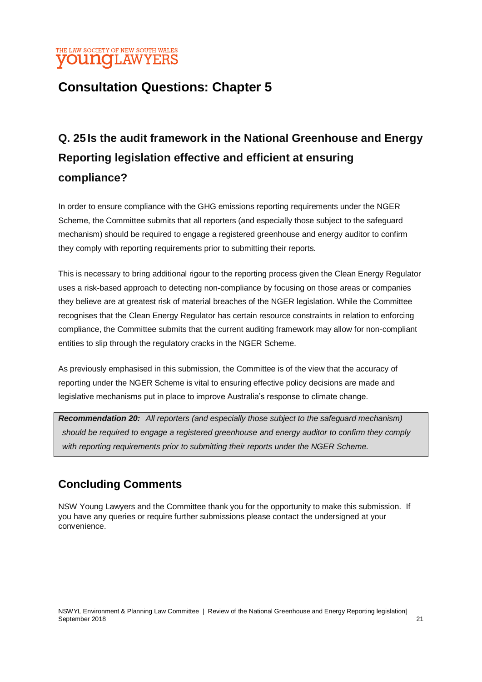#### THE LAW SOCIETY OF NEW SOUTH WALES **younq**LAWYERS

### **Consultation Questions: Chapter 5**

## **Q. 25Is the audit framework in the National Greenhouse and Energy Reporting legislation effective and efficient at ensuring compliance?**

In order to ensure compliance with the GHG emissions reporting requirements under the NGER Scheme, the Committee submits that all reporters (and especially those subject to the safeguard mechanism) should be required to engage a registered greenhouse and energy auditor to confirm they comply with reporting requirements prior to submitting their reports.

This is necessary to bring additional rigour to the reporting process given the Clean Energy Regulator uses a risk-based approach to detecting non-compliance by focusing on those areas or companies they believe are at greatest risk of material breaches of the NGER legislation. While the Committee recognises that the Clean Energy Regulator has certain resource constraints in relation to enforcing compliance, the Committee submits that the current auditing framework may allow for non-compliant entities to slip through the regulatory cracks in the NGER Scheme.

As previously emphasised in this submission, the Committee is of the view that the accuracy of reporting under the NGER Scheme is vital to ensuring effective policy decisions are made and legislative mechanisms put in place to improve Australia's response to climate change.

*Recommendation 20: All reporters (and especially those subject to the safeguard mechanism) should be required to engage a registered greenhouse and energy auditor to confirm they comply with reporting requirements prior to submitting their reports under the NGER Scheme.*

### **Concluding Comments**

NSW Young Lawyers and the Committee thank you for the opportunity to make this submission. If you have any queries or require further submissions please contact the undersigned at your convenience.